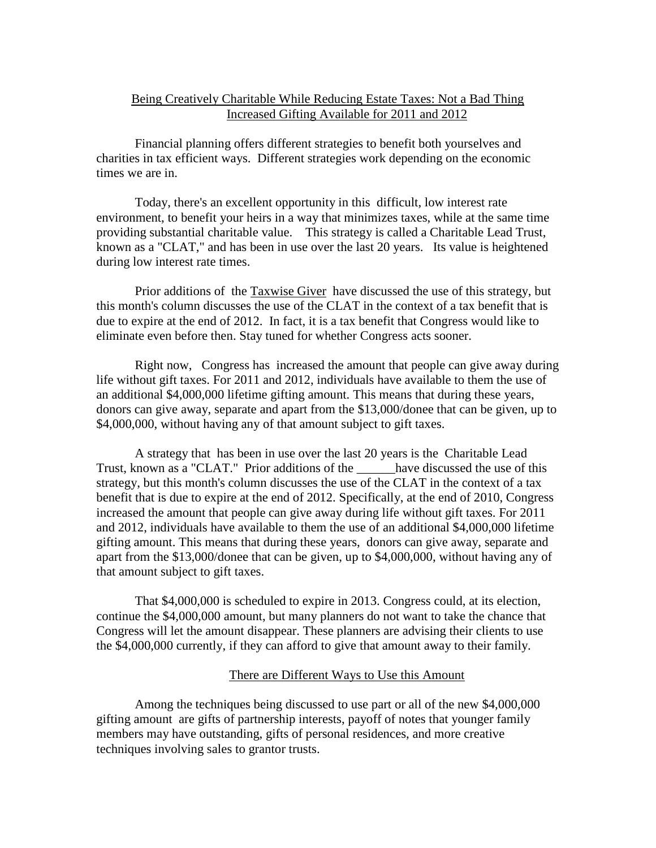# Being Creatively Charitable While Reducing Estate Taxes: Not a Bad Thing Increased Gifting Available for 2011 and 2012

Financial planning offers different strategies to benefit both yourselves and charities in tax efficient ways. Different strategies work depending on the economic times we are in.

Today, there's an excellent opportunity in this difficult, low interest rate environment, to benefit your heirs in a way that minimizes taxes, while at the same time providing substantial charitable value. This strategy is called a Charitable Lead Trust, known as a "CLAT," and has been in use over the last 20 years. Its value is heightened during low interest rate times.

Prior additions of the Taxwise Giver have discussed the use of this strategy, but this month's column discusses the use of the CLAT in the context of a tax benefit that is due to expire at the end of 2012. In fact, it is a tax benefit that Congress would like to eliminate even before then. Stay tuned for whether Congress acts sooner.

Right now, Congress has increased the amount that people can give away during life without gift taxes. For 2011 and 2012, individuals have available to them the use of an additional \$4,000,000 lifetime gifting amount. This means that during these years, donors can give away, separate and apart from the \$13,000/donee that can be given, up to \$4,000,000, without having any of that amount subject to gift taxes.

A strategy that has been in use over the last 20 years is the Charitable Lead Trust, known as a "CLAT." Prior additions of the have discussed the use of this strategy, but this month's column discusses the use of the CLAT in the context of a tax benefit that is due to expire at the end of 2012. Specifically, at the end of 2010, Congress increased the amount that people can give away during life without gift taxes. For 2011 and 2012, individuals have available to them the use of an additional \$4,000,000 lifetime gifting amount. This means that during these years, donors can give away, separate and apart from the \$13,000/donee that can be given, up to \$4,000,000, without having any of that amount subject to gift taxes.

That \$4,000,000 is scheduled to expire in 2013. Congress could, at its election, continue the \$4,000,000 amount, but many planners do not want to take the chance that Congress will let the amount disappear. These planners are advising their clients to use the \$4,000,000 currently, if they can afford to give that amount away to their family.

## There are Different Ways to Use this Amount

Among the techniques being discussed to use part or all of the new \$4,000,000 gifting amount are gifts of partnership interests, payoff of notes that younger family members may have outstanding, gifts of personal residences, and more creative techniques involving sales to grantor trusts.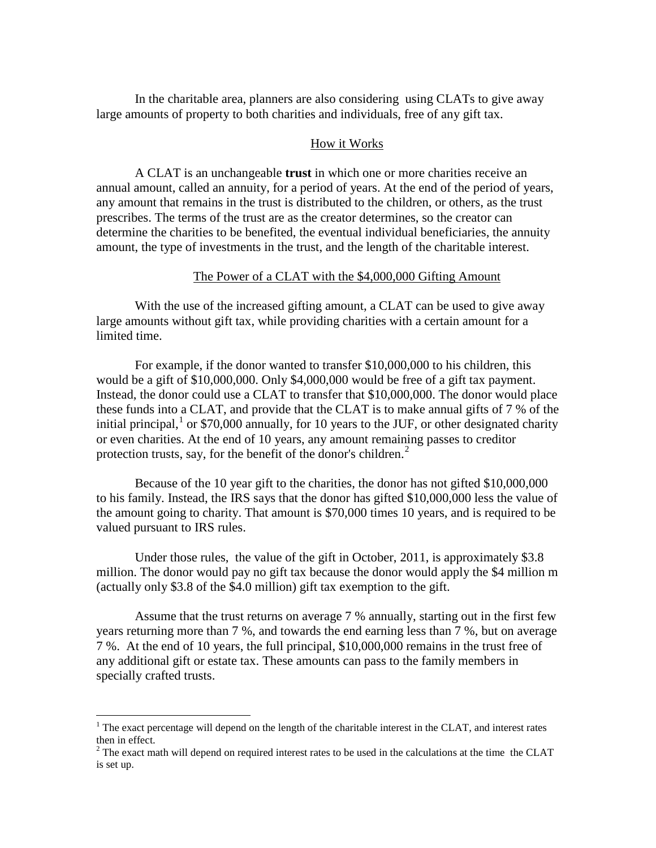In the charitable area, planners are also considering using CLATs to give away large amounts of property to both charities and individuals, free of any gift tax.

#### How it Works

A CLAT is an unchangeable **trust** in which one or more charities receive an annual amount, called an annuity, for a period of years. At the end of the period of years, any amount that remains in the trust is distributed to the children, or others, as the trust prescribes. The terms of the trust are as the creator determines, so the creator can determine the charities to be benefited, the eventual individual beneficiaries, the annuity amount, the type of investments in the trust, and the length of the charitable interest.

## The Power of a CLAT with the \$4,000,000 Gifting Amount

With the use of the increased gifting amount, a CLAT can be used to give away large amounts without gift tax, while providing charities with a certain amount for a limited time.

For example, if the donor wanted to transfer \$10,000,000 to his children, this would be a gift of \$10,000,000. Only \$4,000,000 would be free of a gift tax payment. Instead, the donor could use a CLAT to transfer that \$10,000,000. The donor would place these funds into a CLAT, and provide that the CLAT is to make annual gifts of 7 % of the initial principal, $1$  or \$70,000 annually, for 10 years to the JUF, or other designated charity or even charities. At the end of 10 years, any amount remaining passes to creditor protection trusts, say, for the benefit of the donor's children. $<sup>2</sup>$  $<sup>2</sup>$  $<sup>2</sup>$ </sup>

Because of the 10 year gift to the charities, the donor has not gifted \$10,000,000 to his family. Instead, the IRS says that the donor has gifted \$10,000,000 less the value of the amount going to charity. That amount is \$70,000 times 10 years, and is required to be valued pursuant to IRS rules.

Under those rules, the value of the gift in October, 2011, is approximately \$3.8 million. The donor would pay no gift tax because the donor would apply the \$4 million m (actually only \$3.8 of the \$4.0 million) gift tax exemption to the gift.

Assume that the trust returns on average 7 % annually, starting out in the first few years returning more than 7 %, and towards the end earning less than 7 %, but on average 7 %. At the end of 10 years, the full principal, \$10,000,000 remains in the trust free of any additional gift or estate tax. These amounts can pass to the family members in specially crafted trusts.

 $\overline{a}$ 

<span id="page-1-0"></span> $<sup>1</sup>$  The exact percentage will depend on the length of the charitable interest in the CLAT, and interest rates</sup> then in effect.

<span id="page-1-1"></span> $2^2$  The exact math will depend on required interest rates to be used in the calculations at the time the CLAT is set up.